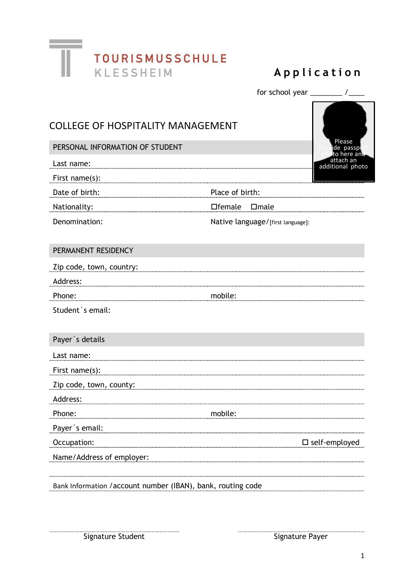

|                                                              |                                   | for school year $\frac{1}{2}$ / $\frac{1}{2}$ |
|--------------------------------------------------------------|-----------------------------------|-----------------------------------------------|
| <b>COLLEGE OF HOSPITALITY MANAGEMENT</b>                     |                                   | Please                                        |
| PERSONAL INFORMATION OF STUDENT                              |                                   | ide passpo<br>to here and                     |
| Last name:                                                   |                                   | attach an<br>additional photo                 |
| First name(s):                                               |                                   |                                               |
| Date of birth:                                               | Place of birth:                   |                                               |
| Nationality:                                                 | □female □male                     |                                               |
| Denomination:                                                | Native language/[first language]: |                                               |
|                                                              |                                   |                                               |
| PERMANENT RESIDENCY                                          |                                   |                                               |
| Zip code, town, country:                                     |                                   |                                               |
| Address:                                                     |                                   |                                               |
| Phone:                                                       | mobile:                           |                                               |
| Student's email:                                             |                                   |                                               |
|                                                              |                                   |                                               |
| Payer's details                                              |                                   |                                               |
| Last name:                                                   |                                   |                                               |
| First name(s):                                               |                                   |                                               |
| Zip code, town, county:                                      |                                   |                                               |
| Address:                                                     |                                   |                                               |
| Phone:                                                       | mobile:                           |                                               |
| Payer's email:                                               |                                   |                                               |
| Occupation:                                                  |                                   | $\square$ self-employed                       |
| Name/Address of employer:                                    |                                   |                                               |
|                                                              |                                   |                                               |
| Bank Information / account number (IBAN), bank, routing code |                                   |                                               |
|                                                              |                                   |                                               |

**Signature Student Signature Payer** Signature Payer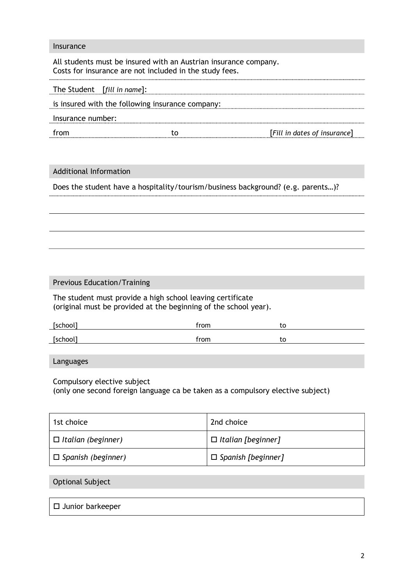#### Insurance

All students must be insured with an Austrian insurance company. Costs for insurance are not included in the study fees.

|                   | The Student [fill in name]:                      |                              |
|-------------------|--------------------------------------------------|------------------------------|
|                   | is insured with the following insurance company: |                              |
| Insurance number: |                                                  |                              |
| from              |                                                  | [Fill in dates of insurance] |
|                   |                                                  |                              |

### Additional Information

Does the student have a hospitality/tourism/business background? (e.g. parents…)?

### Previous Education/Training

The student must provide a high school leaving certificate (original must be provided at the beginning of the school year).

| [school] | from | w  |  |
|----------|------|----|--|
| [school] | from | ιu |  |

Languages

Compulsory elective subject

(only one second foreign language ca be taken as a compulsory elective subject)

| 1st choice                | 2nd choice                |
|---------------------------|---------------------------|
| $\Box$ Italian (beginner) | $\Box$ Italian [beginner] |
| $\Box$ Spanish (beginner) | $\Box$ Spanish [beginner] |

### Optional Subject

 $\square$  Junior barkeeper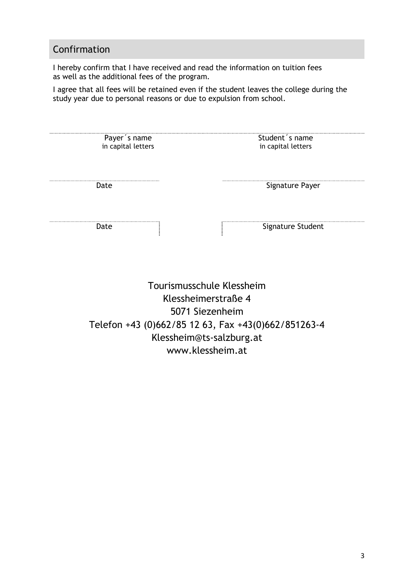# Confirmation

I hereby confirm that I have received and read the information on tuition fees as well as the additional fees of the program.

I agree that all fees will be retained even if the student leaves the college during the study year due to personal reasons or due to expulsion from school.

| Payer's name<br>in capital letters | Student's name<br>in capital letters |
|------------------------------------|--------------------------------------|
| Date                               | Signature Payer                      |
| Date                               | Signature Student                    |

Tourismusschule Klessheim Klessheimerstraße 4 5071 Siezenheim Telefon +43 (0)662/85 12 63, Fax +43(0)662/851263-4 Klessheim@ts-salzburg.at www.klessheim.at